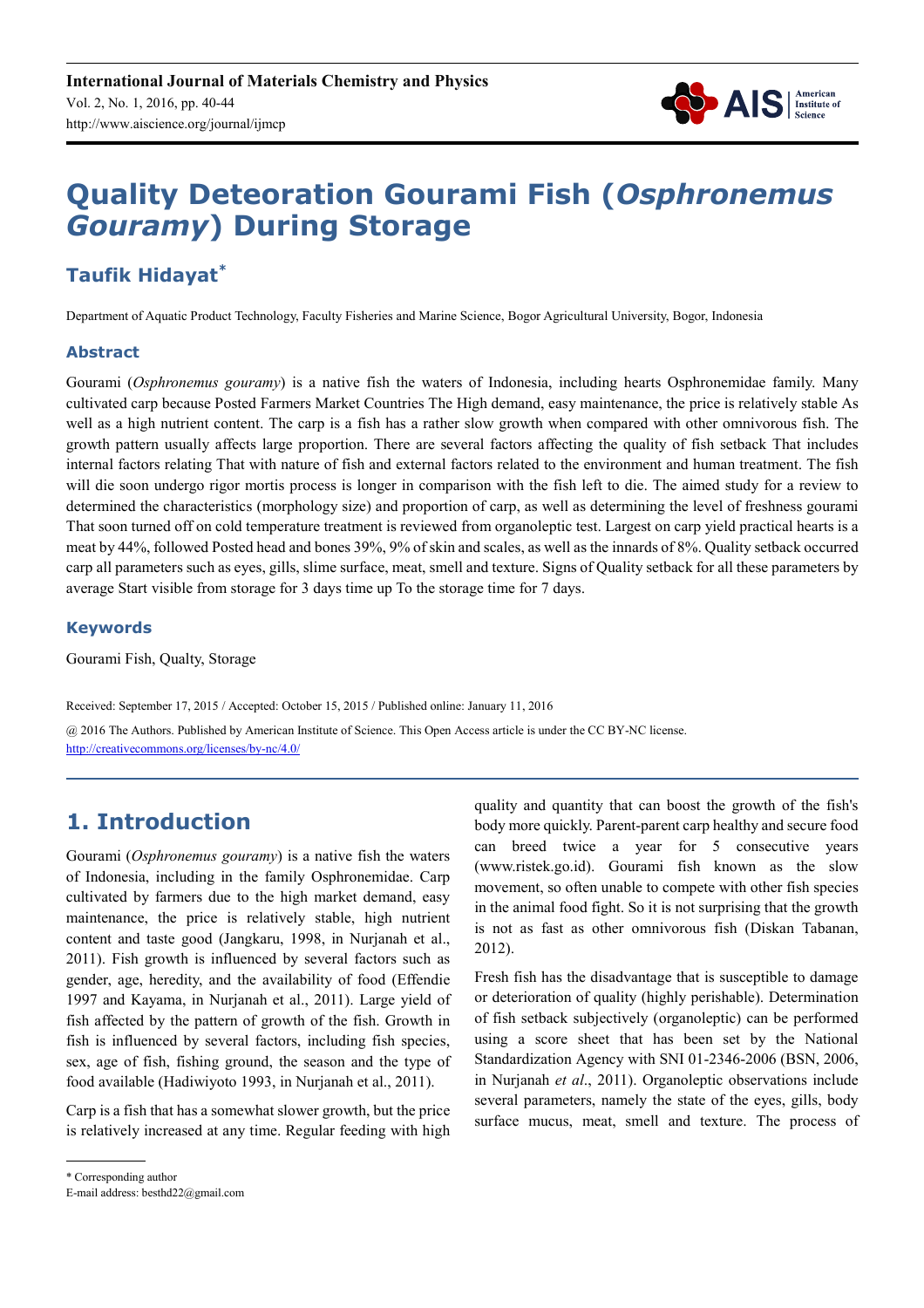

# **Quality Deteoration Gourami Fish (***Osphronemus Gouramy***) During Storage**

# **Taufik Hidayat\***

Department of Aquatic Product Technology, Faculty Fisheries and Marine Science, Bogor Agricultural University, Bogor, Indonesia

### **Abstract**

Gourami (*Osphronemus gouramy*) is a native fish the waters of Indonesia, including hearts Osphronemidae family. Many cultivated carp because Posted Farmers Market Countries The High demand, easy maintenance, the price is relatively stable As well as a high nutrient content. The carp is a fish has a rather slow growth when compared with other omnivorous fish. The growth pattern usually affects large proportion. There are several factors affecting the quality of fish setback That includes internal factors relating That with nature of fish and external factors related to the environment and human treatment. The fish will die soon undergo rigor mortis process is longer in comparison with the fish left to die. The aimed study for a review to determined the characteristics (morphology size) and proportion of carp, as well as determining the level of freshness gourami That soon turned off on cold temperature treatment is reviewed from organoleptic test. Largest on carp yield practical hearts is a meat by 44%, followed Posted head and bones 39%, 9% of skin and scales, as well as the innards of 8%. Quality setback occurred carp all parameters such as eyes, gills, slime surface, meat, smell and texture. Signs of Quality setback for all these parameters by average Start visible from storage for 3 days time up To the storage time for 7 days.

### **Keywords**

Gourami Fish, Qualty, Storage

Received: September 17, 2015 / Accepted: October 15, 2015 / Published online: January 11, 2016

@ 2016 The Authors. Published by American Institute of Science. This Open Access article is under the CC BY-NC license. http://creativecommons.org/licenses/by-nc/4.0/

# **1. Introduction**

Gourami (*Osphronemus gouramy*) is a native fish the waters of Indonesia, including in the family Osphronemidae. Carp cultivated by farmers due to the high market demand, easy maintenance, the price is relatively stable, high nutrient content and taste good (Jangkaru, 1998, in Nurjanah et al., 2011). Fish growth is influenced by several factors such as gender, age, heredity, and the availability of food (Effendie 1997 and Kayama, in Nurjanah et al., 2011). Large yield of fish affected by the pattern of growth of the fish. Growth in fish is influenced by several factors, including fish species, sex, age of fish, fishing ground, the season and the type of food available (Hadiwiyoto 1993, in Nurjanah et al., 2011).

Carp is a fish that has a somewhat slower growth, but the price is relatively increased at any time. Regular feeding with high Fresh fish has the disadvantage that is susceptible to damage or deterioration of quality (highly perishable). Determination of fish setback subjectively (organoleptic) can be performed using a score sheet that has been set by the National Standardization Agency with SNI 01-2346-2006 (BSN, 2006, in Nurjanah *et al*., 2011). Organoleptic observations include several parameters, namely the state of the eyes, gills, body surface mucus, meat, smell and texture. The process of

quality and quantity that can boost the growth of the fish's body more quickly. Parent-parent carp healthy and secure food can breed twice a year for 5 consecutive years (www.ristek.go.id). Gourami fish known as the slow movement, so often unable to compete with other fish species in the animal food fight. So it is not surprising that the growth is not as fast as other omnivorous fish (Diskan Tabanan, 2012).

<sup>\*</sup> Corresponding author

E-mail address: besthd22@gmail.com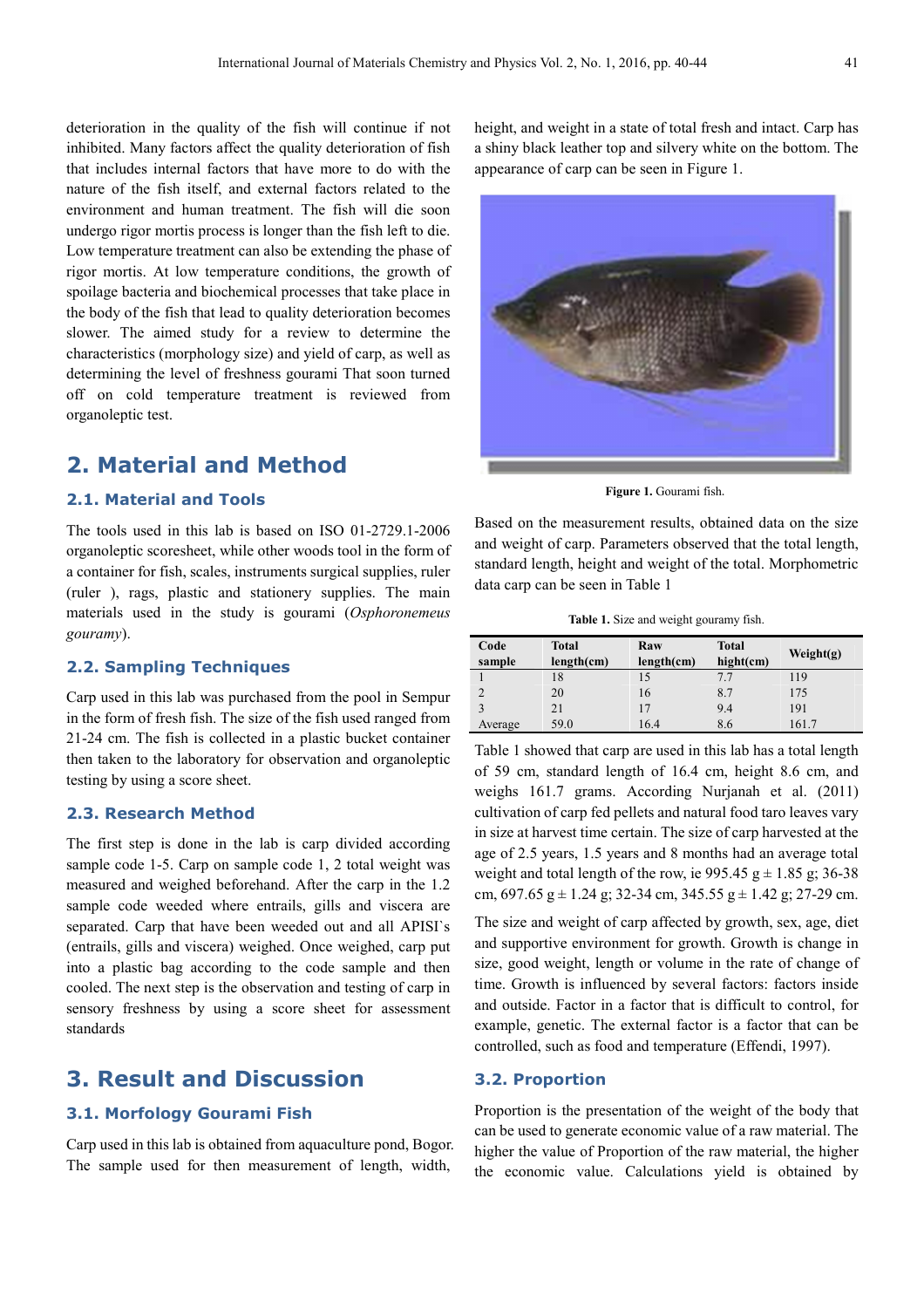deterioration in the quality of the fish will continue if not inhibited. Many factors affect the quality deterioration of fish that includes internal factors that have more to do with the nature of the fish itself, and external factors related to the environment and human treatment. The fish will die soon undergo rigor mortis process is longer than the fish left to die. Low temperature treatment can also be extending the phase of rigor mortis. At low temperature conditions, the growth of spoilage bacteria and biochemical processes that take place in the body of the fish that lead to quality deterioration becomes slower. The aimed study for a review to determine the characteristics (morphology size) and yield of carp, as well as determining the level of freshness gourami That soon turned off on cold temperature treatment is reviewed from organoleptic test.

## **2. Material and Method**

### **2.1. Material and Tools**

The tools used in this lab is based on ISO 01-2729.1-2006 organoleptic scoresheet, while other woods tool in the form of a container for fish, scales, instruments surgical supplies, ruler (ruler ), rags, plastic and stationery supplies. The main materials used in the study is gourami (*Osphoronemeus gouramy*).

#### **2.2. Sampling Techniques**

Carp used in this lab was purchased from the pool in Sempur in the form of fresh fish. The size of the fish used ranged from 21-24 cm. The fish is collected in a plastic bucket container then taken to the laboratory for observation and organoleptic testing by using a score sheet.

### **2.3. Research Method**

The first step is done in the lab is carp divided according sample code 1-5. Carp on sample code 1, 2 total weight was measured and weighed beforehand. After the carp in the 1.2 sample code weeded where entrails, gills and viscera are separated. Carp that have been weeded out and all APISI`s (entrails, gills and viscera) weighed. Once weighed, carp put into a plastic bag according to the code sample and then cooled. The next step is the observation and testing of carp in sensory freshness by using a score sheet for assessment standards

### **3. Result and Discussion**

#### **3.1. Morfology Gourami Fish**

Carp used in this lab is obtained from aquaculture pond, Bogor. The sample used for then measurement of length, width,

height, and weight in a state of total fresh and intact. Carp has a shiny black leather top and silvery white on the bottom. The appearance of carp can be seen in Figure 1.



**Figure 1.** Gourami fish.

Based on the measurement results, obtained data on the size and weight of carp. Parameters observed that the total length, standard length, height and weight of the total. Morphometric data carp can be seen in Table 1

**Table 1.** Size and weight gouramy fish.

| Code    | <b>Total</b> | Raw        | <b>Total</b> |              |
|---------|--------------|------------|--------------|--------------|
| sample  | length(cm)   | length(cm) | $hight$ (cm) | Weight $(g)$ |
|         | 18           | 15         | 7.7          | 119          |
| C       | 20           | 16         | 8.7          | 175          |
|         | 21           | 17         | 9.4          | 191          |
| Average | 59.0         | 16.4       | 8.6          | 161.7        |

Table 1 showed that carp are used in this lab has a total length of 59 cm, standard length of 16.4 cm, height 8.6 cm, and weighs 161.7 grams. According Nurjanah et al. (2011) cultivation of carp fed pellets and natural food taro leaves vary in size at harvest time certain. The size of carp harvested at the age of 2.5 years, 1.5 years and 8 months had an average total weight and total length of the row, ie  $995.45 \text{ g} \pm 1.85 \text{ g}$ ; 36-38 cm,  $697.65$  g  $\pm$  1.24 g; 32-34 cm, 345.55 g  $\pm$  1.42 g; 27-29 cm.

The size and weight of carp affected by growth, sex, age, diet and supportive environment for growth. Growth is change in size, good weight, length or volume in the rate of change of time. Growth is influenced by several factors: factors inside and outside. Factor in a factor that is difficult to control, for example, genetic. The external factor is a factor that can be controlled, such as food and temperature (Effendi, 1997).

#### **3.2. Proportion**

Proportion is the presentation of the weight of the body that can be used to generate economic value of a raw material. The higher the value of Proportion of the raw material, the higher the economic value. Calculations yield is obtained by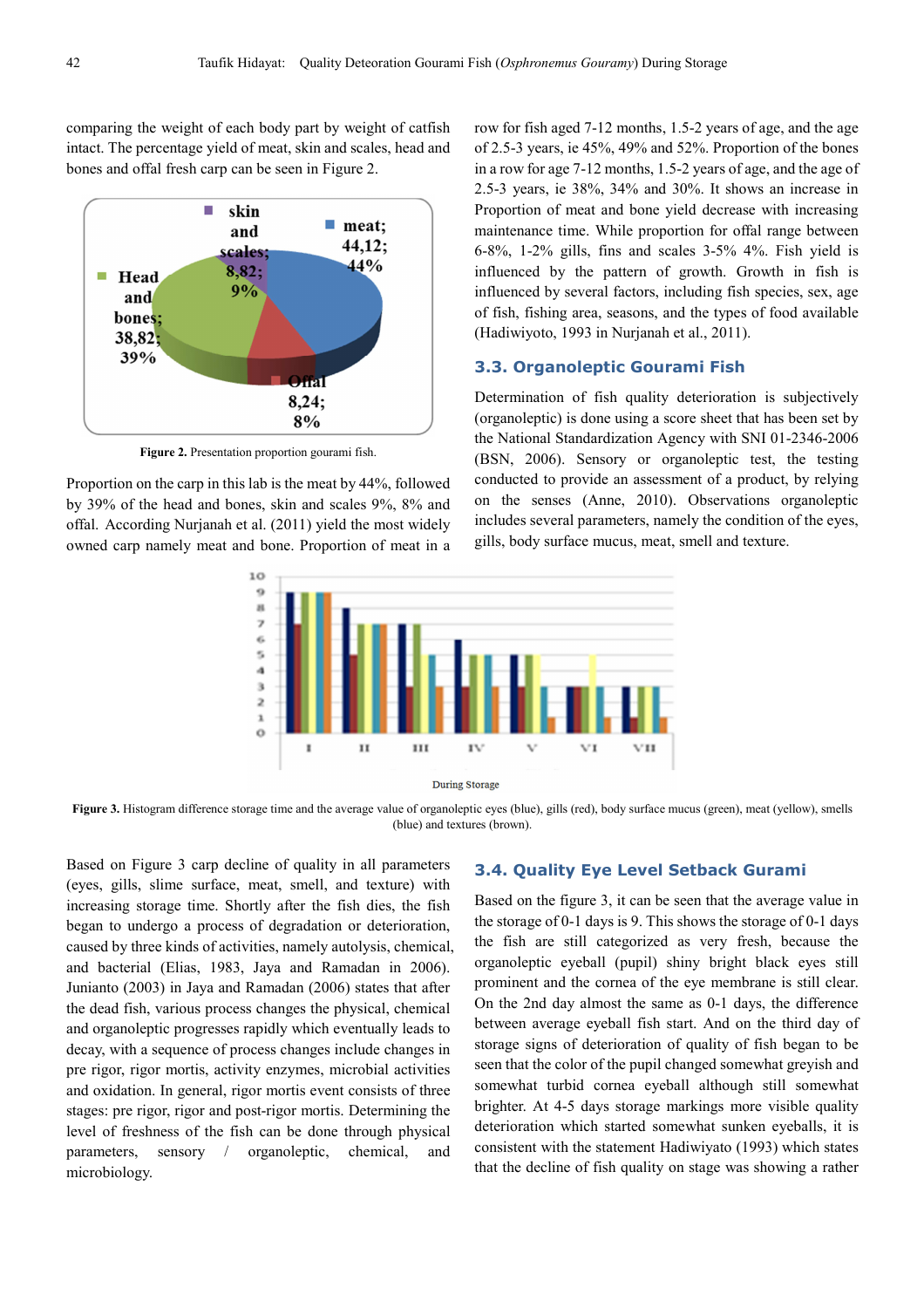comparing the weight of each body part by weight of catfish intact. The percentage yield of meat, skin and scales, head and bones and offal fresh carp can be seen in Figure 2.



**Figure 2.** Presentation proportion gourami fish.

Proportion on the carp in this lab is the meat by 44%, followed by 39% of the head and bones, skin and scales 9%, 8% and offal. According Nurjanah et al. (2011) yield the most widely owned carp namely meat and bone. Proportion of meat in a

row for fish aged 7-12 months, 1.5-2 years of age, and the age of 2.5-3 years, ie 45%, 49% and 52%. Proportion of the bones in a row for age 7-12 months, 1.5-2 years of age, and the age of 2.5-3 years, ie 38%, 34% and 30%. It shows an increase in Proportion of meat and bone yield decrease with increasing maintenance time. While proportion for offal range between 6-8%, 1-2% gills, fins and scales 3-5% 4%. Fish yield is influenced by the pattern of growth. Growth in fish is influenced by several factors, including fish species, sex, age of fish, fishing area, seasons, and the types of food available (Hadiwiyoto, 1993 in Nurjanah et al., 2011).

#### **3.3. Organoleptic Gourami Fish**

Determination of fish quality deterioration is subjectively (organoleptic) is done using a score sheet that has been set by the National Standardization Agency with SNI 01-2346-2006 (BSN, 2006). Sensory or organoleptic test, the testing conducted to provide an assessment of a product, by relying on the senses (Anne, 2010). Observations organoleptic includes several parameters, namely the condition of the eyes, gills, body surface mucus, meat, smell and texture.



Figure 3. Histogram difference storage time and the average value of organoleptic eyes (blue), gills (red), body surface mucus (green), meat (yellow), smells (blue) and textures (brown).

Based on Figure 3 carp decline of quality in all parameters (eyes, gills, slime surface, meat, smell, and texture) with increasing storage time. Shortly after the fish dies, the fish began to undergo a process of degradation or deterioration, caused by three kinds of activities, namely autolysis, chemical, and bacterial (Elias, 1983, Jaya and Ramadan in 2006). Junianto (2003) in Jaya and Ramadan (2006) states that after the dead fish, various process changes the physical, chemical and organoleptic progresses rapidly which eventually leads to decay, with a sequence of process changes include changes in pre rigor, rigor mortis, activity enzymes, microbial activities and oxidation. In general, rigor mortis event consists of three stages: pre rigor, rigor and post-rigor mortis. Determining the level of freshness of the fish can be done through physical parameters, sensory / organoleptic, chemical, and microbiology.

#### **3.4. Quality Eye Level Setback Gurami**

Based on the figure 3, it can be seen that the average value in the storage of 0-1 days is 9. This shows the storage of 0-1 days the fish are still categorized as very fresh, because the organoleptic eyeball (pupil) shiny bright black eyes still prominent and the cornea of the eye membrane is still clear. On the 2nd day almost the same as 0-1 days, the difference between average eyeball fish start. And on the third day of storage signs of deterioration of quality of fish began to be seen that the color of the pupil changed somewhat greyish and somewhat turbid cornea eyeball although still somewhat brighter. At 4-5 days storage markings more visible quality deterioration which started somewhat sunken eyeballs, it is consistent with the statement Hadiwiyato (1993) which states that the decline of fish quality on stage was showing a rather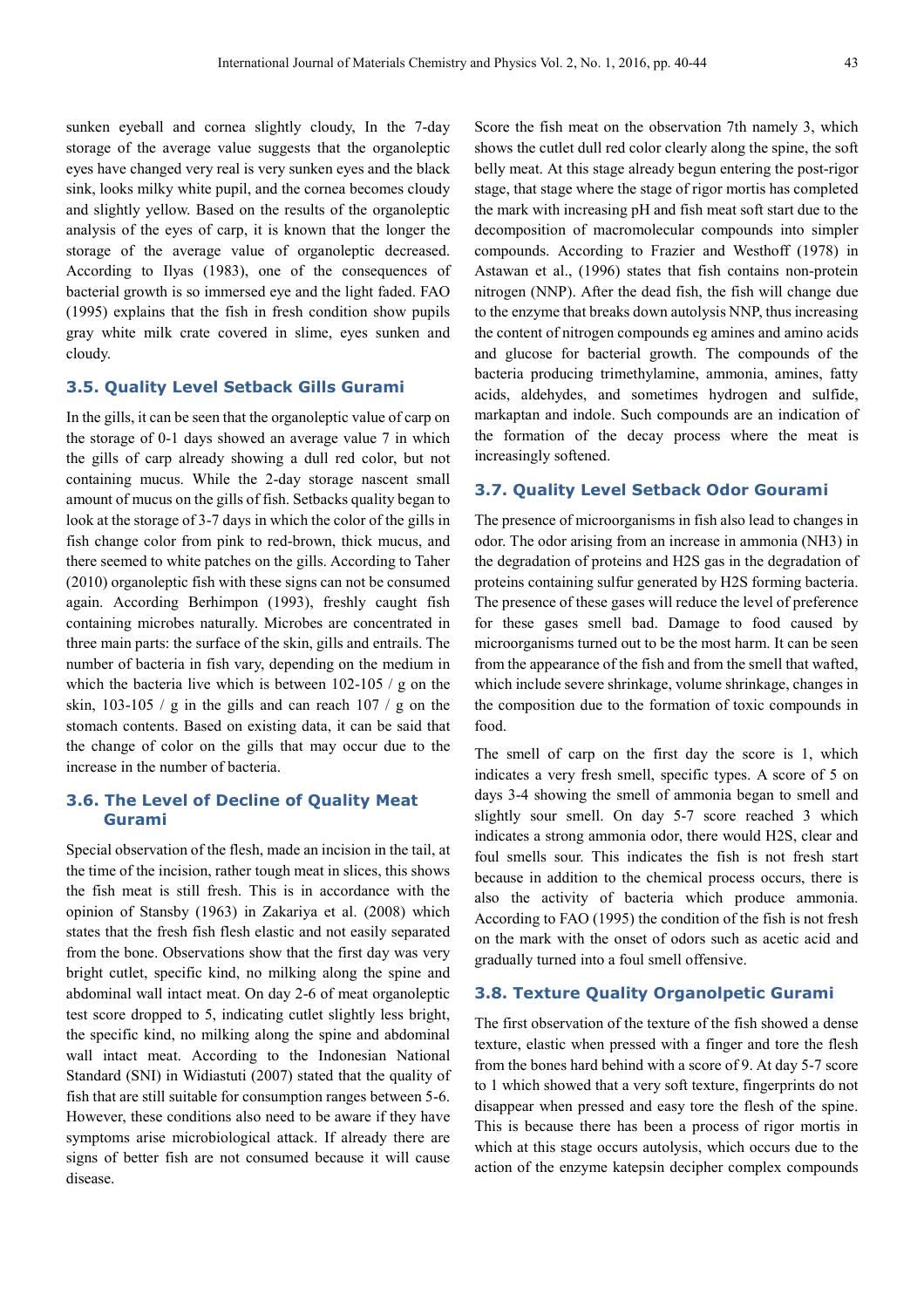sunken eyeball and cornea slightly cloudy, In the 7-day storage of the average value suggests that the organoleptic eyes have changed very real is very sunken eyes and the black sink, looks milky white pupil, and the cornea becomes cloudy and slightly yellow. Based on the results of the organoleptic analysis of the eyes of carp, it is known that the longer the storage of the average value of organoleptic decreased. According to Ilyas (1983), one of the consequences of bacterial growth is so immersed eye and the light faded. FAO (1995) explains that the fish in fresh condition show pupils gray white milk crate covered in slime, eyes sunken and cloudy.

### **3.5. Quality Level Setback Gills Gurami**

In the gills, it can be seen that the organoleptic value of carp on the storage of 0-1 days showed an average value 7 in which the gills of carp already showing a dull red color, but not containing mucus. While the 2-day storage nascent small amount of mucus on the gills of fish. Setbacks quality began to look at the storage of 3-7 days in which the color of the gills in fish change color from pink to red-brown, thick mucus, and there seemed to white patches on the gills. According to Taher (2010) organoleptic fish with these signs can not be consumed again. According Berhimpon (1993), freshly caught fish containing microbes naturally. Microbes are concentrated in three main parts: the surface of the skin, gills and entrails. The number of bacteria in fish vary, depending on the medium in which the bacteria live which is between 102-105 / g on the skin,  $103-105$  / g in the gills and can reach  $107$  / g on the stomach contents. Based on existing data, it can be said that the change of color on the gills that may occur due to the increase in the number of bacteria.

#### **3.6. The Level of Decline of Quality Meat Gurami**

Special observation of the flesh, made an incision in the tail, at the time of the incision, rather tough meat in slices, this shows the fish meat is still fresh. This is in accordance with the opinion of Stansby (1963) in Zakariya et al. (2008) which states that the fresh fish flesh elastic and not easily separated from the bone. Observations show that the first day was very bright cutlet, specific kind, no milking along the spine and abdominal wall intact meat. On day 2-6 of meat organoleptic test score dropped to 5, indicating cutlet slightly less bright, the specific kind, no milking along the spine and abdominal wall intact meat. According to the Indonesian National Standard (SNI) in Widiastuti (2007) stated that the quality of fish that are still suitable for consumption ranges between 5-6. However, these conditions also need to be aware if they have symptoms arise microbiological attack. If already there are signs of better fish are not consumed because it will cause disease.

Score the fish meat on the observation 7th namely 3, which shows the cutlet dull red color clearly along the spine, the soft belly meat. At this stage already begun entering the post-rigor stage, that stage where the stage of rigor mortis has completed the mark with increasing pH and fish meat soft start due to the decomposition of macromolecular compounds into simpler compounds. According to Frazier and Westhoff (1978) in Astawan et al., (1996) states that fish contains non-protein nitrogen (NNP). After the dead fish, the fish will change due to the enzyme that breaks down autolysis NNP, thus increasing the content of nitrogen compounds eg amines and amino acids and glucose for bacterial growth. The compounds of the bacteria producing trimethylamine, ammonia, amines, fatty acids, aldehydes, and sometimes hydrogen and sulfide, markaptan and indole. Such compounds are an indication of the formation of the decay process where the meat is increasingly softened.

#### **3.7. Quality Level Setback Odor Gourami**

The presence of microorganisms in fish also lead to changes in odor. The odor arising from an increase in ammonia (NH3) in the degradation of proteins and H2S gas in the degradation of proteins containing sulfur generated by H2S forming bacteria. The presence of these gases will reduce the level of preference for these gases smell bad. Damage to food caused by microorganisms turned out to be the most harm. It can be seen from the appearance of the fish and from the smell that wafted, which include severe shrinkage, volume shrinkage, changes in the composition due to the formation of toxic compounds in food.

The smell of carp on the first day the score is 1, which indicates a very fresh smell, specific types. A score of 5 on days 3-4 showing the smell of ammonia began to smell and slightly sour smell. On day 5-7 score reached 3 which indicates a strong ammonia odor, there would H2S, clear and foul smells sour. This indicates the fish is not fresh start because in addition to the chemical process occurs, there is also the activity of bacteria which produce ammonia. According to FAO (1995) the condition of the fish is not fresh on the mark with the onset of odors such as acetic acid and gradually turned into a foul smell offensive.

#### **3.8. Texture Quality Organolpetic Gurami**

The first observation of the texture of the fish showed a dense texture, elastic when pressed with a finger and tore the flesh from the bones hard behind with a score of 9. At day 5-7 score to 1 which showed that a very soft texture, fingerprints do not disappear when pressed and easy tore the flesh of the spine. This is because there has been a process of rigor mortis in which at this stage occurs autolysis, which occurs due to the action of the enzyme katepsin decipher complex compounds